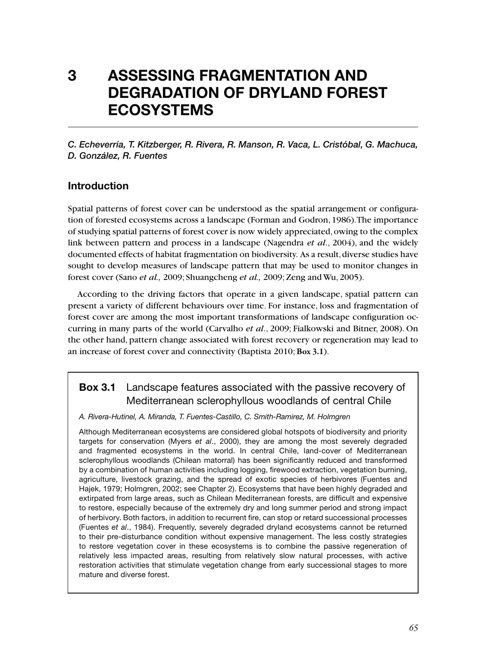## **3 ASSESSING FRAGMENTATION AND DEGRADATION OF DRYLAND FOREST ECOSYSTEMS**

*C. Echeverría, T. Kitzberger, R. Rivera, R. Manson, R. Vaca, L. Cristóbal, G. Machuca, D. González, R. Fuentes*

## **Introduction**

Spatial patterns of forest cover can be understood as the spatial arrangement or configuration of forested ecosystems across a landscape (Forman and Godron, 1986). The importance of studying spatial patterns of forest cover is now widely appreciated, owing to the complex link between pattern and process in a landscape (Nagendra *et al*., 2004), and the widely documented effects of habitat fragmentation on biodiversity. As a result, diverse studies have sought to develop measures of landscape pattern that may be used to monitor changes in forest cover (Sano *et al.,* 2009; Shuangcheng *et al.,* 2009; Zeng and Wu, 2005).

According to the driving factors that operate in a given landscape, spatial pattern can present a variety of different behaviours over time. For instance, loss and fragmentation of forest cover are among the most important transformations of landscape configuration occurring in many parts of the world (Carvalho *et al*., 2009; Fialkowski and Bitner, 2008). On the other hand, pattern change associated with forest recovery or regeneration may lead to an increase of forest cover and connectivity (Baptista 2010; **Box 3.1**).

## **Box 3.1** Landscape features associated with the passive recovery of Mediterranean sclerophyllous woodlands of central Chile

A. Rivera-Hutinel, A. Miranda, T. Fuentes-Castillo, C. Smith-Ramirez, M. Holmgren

Although Mediterranean ecosystems are considered global hotspots of biodiversity and priority targets for conservation (Myers et al., 2000), they are among the most severely degraded and fragmented ecosystems in the world. In central Chile, land-cover of Mediterranean sclerophyllous woodlands (Chilean matorral) has been significantly reduced and transformed by a combination of human activities including logging, firewood extraction, vegetation burning, agriculture, livestock grazing, and the spread of exotic species of herbivores (Fuentes and Hajek, 1979; Holmgren, 2002; see Chapter 2). Ecosystems that have been highly degraded and extirpated from large areas, such as Chilean Mediterranean forests, are difficult and expensive to restore, especially because of the extremely dry and long summer period and strong impact of herbivory. Both factors, in addition to recurrent fire, can stop or retard successional processes (Fuentes et al., 1984). Frequently, severely degraded dryland ecosystems cannot be returned to their pre-disturbance condition without expensive management. The less costly strategies to restore vegetation cover in these ecosystems is to combine the passive regeneration of relatively less impacted areas, resulting from relatively slow natural processes, with active restoration activities that stimulate vegetation change from early successional stages to more mature and diverse forest.